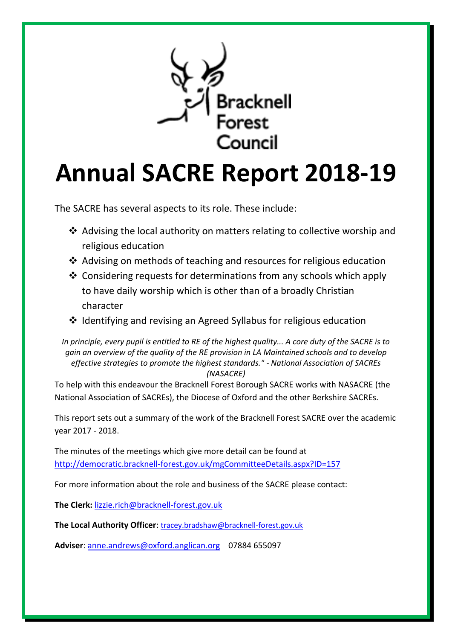

# **Annual SACRE Report 2018-19**

The SACRE has several aspects to its role. These include:

- ❖ Advising the local authority on matters relating to collective worship and religious education
- ❖ Advising on methods of teaching and resources for religious education
- ❖ Considering requests for determinations from any schools which apply to have daily worship which is other than of a broadly Christian character
- ❖ Identifying and revising an Agreed Syllabus for religious education

*In principle, every pupil is entitled to RE of the highest quality... A core duty of the SACRE is to gain an overview of the quality of the RE provision in LA Maintained schools and to develop effective strategies to promote the highest standards." - National Association of SACREs (NASACRE)*

To help with this endeavour the Bracknell Forest Borough SACRE works with NASACRE (the National Association of SACREs), the Diocese of Oxford and the other Berkshire SACREs.

This report sets out a summary of the work of the Bracknell Forest SACRE over the academic year 2017 - 2018.

The minutes of the meetings which give more detail can be found at <http://democratic.bracknell-forest.gov.uk/mgCommitteeDetails.aspx?ID=157>

For more information about the role and business of the SACRE please contact:

**The Clerk:** [lizzie.rich@bracknell-forest.gov.uk](mailto:lizzie.rich@bracknell-forest.gov.uk)

**The Local Authority Officer**: [tracey.bradshaw@bracknell-forest.gov.uk](mailto:tracey.bradshaw@bracknell-forest.gov.uk)

**Adviser**: [anne.andrews@oxford.anglican.org](mailto:anne.andrews@oxford.anglican.org) 07884 655097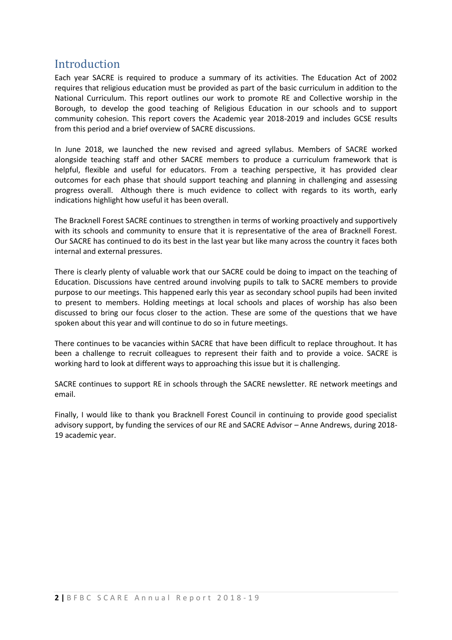#### Introduction

Each year SACRE is required to produce a summary of its activities. The Education Act of 2002 requires that religious education must be provided as part of the basic curriculum in addition to the National Curriculum. This report outlines our work to promote RE and Collective worship in the Borough, to develop the good teaching of Religious Education in our schools and to support community cohesion. This report covers the Academic year 2018-2019 and includes GCSE results from this period and a brief overview of SACRE discussions.

In June 2018, we launched the new revised and agreed syllabus. Members of SACRE worked alongside teaching staff and other SACRE members to produce a curriculum framework that is helpful, flexible and useful for educators. From a teaching perspective, it has provided clear outcomes for each phase that should support teaching and planning in challenging and assessing progress overall. Although there is much evidence to collect with regards to its worth, early indications highlight how useful it has been overall.

The Bracknell Forest SACRE continues to strengthen in terms of working proactively and supportively with its schools and community to ensure that it is representative of the area of Bracknell Forest. Our SACRE has continued to do its best in the last year but like many across the country it faces both internal and external pressures.

There is clearly plenty of valuable work that our SACRE could be doing to impact on the teaching of Education. Discussions have centred around involving pupils to talk to SACRE members to provide purpose to our meetings. This happened early this year as secondary school pupils had been invited to present to members. Holding meetings at local schools and places of worship has also been discussed to bring our focus closer to the action. These are some of the questions that we have spoken about this year and will continue to do so in future meetings.

There continues to be vacancies within SACRE that have been difficult to replace throughout. It has been a challenge to recruit colleagues to represent their faith and to provide a voice. SACRE is working hard to look at different ways to approaching this issue but it is challenging.

SACRE continues to support RE in schools through the SACRE newsletter. RE network meetings and email.

Finally, I would like to thank you Bracknell Forest Council in continuing to provide good specialist advisory support, by funding the services of our RE and SACRE Advisor – Anne Andrews, during 2018- 19 academic year.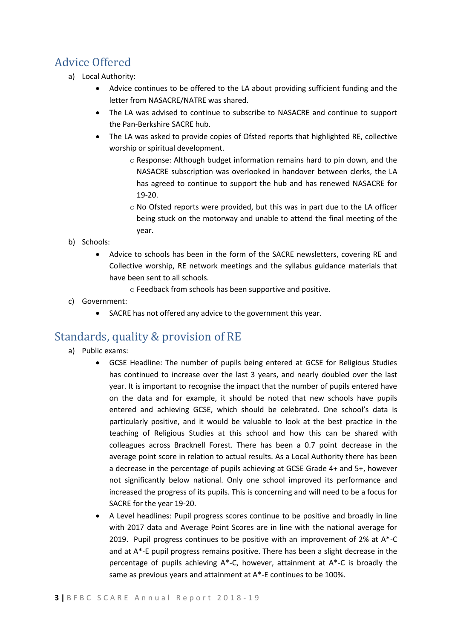# Advice Offered

- a) Local Authority:
	- Advice continues to be offered to the LA about providing sufficient funding and the letter from NASACRE/NATRE was shared.
	- The LA was advised to continue to subscribe to NASACRE and continue to support the Pan-Berkshire SACRE hub.
	- The LA was asked to provide copies of Ofsted reports that highlighted RE, collective worship or spiritual development.
		- o Response: Although budget information remains hard to pin down, and the NASACRE subscription was overlooked in handover between clerks, the LA has agreed to continue to support the hub and has renewed NASACRE for 19-20.
		- o No Ofsted reports were provided, but this was in part due to the LA officer being stuck on the motorway and unable to attend the final meeting of the year.
- b) Schools:
	- Advice to schools has been in the form of the SACRE newsletters, covering RE and Collective worship, RE network meetings and the syllabus guidance materials that have been sent to all schools.
		- o Feedback from schools has been supportive and positive.
- c) Government:
	- SACRE has not offered any advice to the government this year.

# Standards, quality & provision of RE

- a) Public exams:
	- GCSE Headline: The number of pupils being entered at GCSE for Religious Studies has continued to increase over the last 3 years, and nearly doubled over the last year. It is important to recognise the impact that the number of pupils entered have on the data and for example, it should be noted that new schools have pupils entered and achieving GCSE, which should be celebrated. One school's data is particularly positive, and it would be valuable to look at the best practice in the teaching of Religious Studies at this school and how this can be shared with colleagues across Bracknell Forest. There has been a 0.7 point decrease in the average point score in relation to actual results. As a Local Authority there has been a decrease in the percentage of pupils achieving at GCSE Grade 4+ and 5+, however not significantly below national. Only one school improved its performance and increased the progress of its pupils. This is concerning and will need to be a focus for SACRE for the year 19-20.
	- A Level headlines: Pupil progress scores continue to be positive and broadly in line with 2017 data and Average Point Scores are in line with the national average for 2019. Pupil progress continues to be positive with an improvement of 2% at A\*-C and at A\*-E pupil progress remains positive. There has been a slight decrease in the percentage of pupils achieving A\*-C, however, attainment at A\*-C is broadly the same as previous years and attainment at A\*-E continues to be 100%.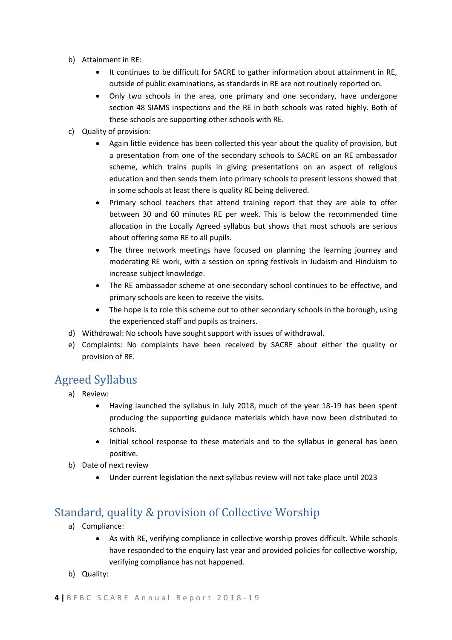- b) Attainment in RE:
	- It continues to be difficult for SACRE to gather information about attainment in RE, outside of public examinations, as standards in RE are not routinely reported on.
	- Only two schools in the area, one primary and one secondary, have undergone section 48 SIAMS inspections and the RE in both schools was rated highly. Both of these schools are supporting other schools with RE.
- c) Quality of provision:
	- Again little evidence has been collected this year about the quality of provision, but a presentation from one of the secondary schools to SACRE on an RE ambassador scheme, which trains pupils in giving presentations on an aspect of religious education and then sends them into primary schools to present lessons showed that in some schools at least there is quality RE being delivered.
	- Primary school teachers that attend training report that they are able to offer between 30 and 60 minutes RE per week. This is below the recommended time allocation in the Locally Agreed syllabus but shows that most schools are serious about offering some RE to all pupils.
	- The three network meetings have focused on planning the learning journey and moderating RE work, with a session on spring festivals in Judaism and Hinduism to increase subject knowledge.
	- The RE ambassador scheme at one secondary school continues to be effective, and primary schools are keen to receive the visits.
	- The hope is to role this scheme out to other secondary schools in the borough, using the experienced staff and pupils as trainers.
- d) Withdrawal: No schools have sought support with issues of withdrawal.
- e) Complaints: No complaints have been received by SACRE about either the quality or provision of RE.

# Agreed Syllabus

- a) Review:
	- Having launched the syllabus in July 2018, much of the year 18-19 has been spent producing the supporting guidance materials which have now been distributed to schools.
	- Initial school response to these materials and to the syllabus in general has been positive.
- b) Date of next review
	- Under current legislation the next syllabus review will not take place until 2023

# Standard, quality & provision of Collective Worship

- a) Compliance:
	- As with RE, verifying compliance in collective worship proves difficult. While schools have responded to the enquiry last year and provided policies for collective worship, verifying compliance has not happened.
- b) Quality: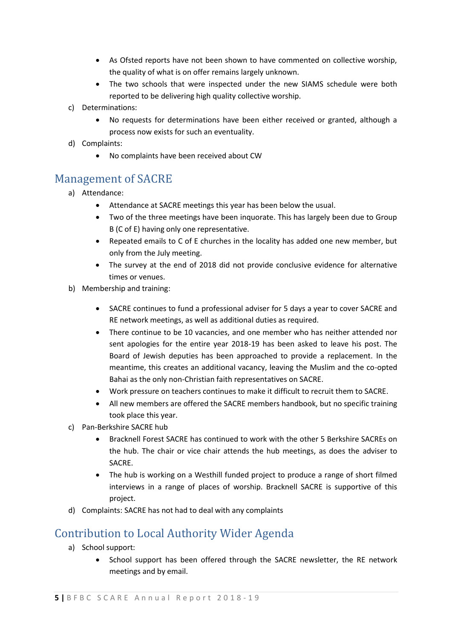- As Ofsted reports have not been shown to have commented on collective worship, the quality of what is on offer remains largely unknown.
- The two schools that were inspected under the new SIAMS schedule were both reported to be delivering high quality collective worship.
- c) Determinations:
	- No requests for determinations have been either received or granted, although a process now exists for such an eventuality.
- d) Complaints:
	- No complaints have been received about CW

#### Management of SACRE

- a) Attendance:
	- Attendance at SACRE meetings this year has been below the usual.
	- Two of the three meetings have been inquorate. This has largely been due to Group B (C of E) having only one representative.
	- Repeated emails to C of E churches in the locality has added one new member, but only from the July meeting.
	- The survey at the end of 2018 did not provide conclusive evidence for alternative times or venues.
- b) Membership and training:
	- SACRE continues to fund a professional adviser for 5 days a year to cover SACRE and RE network meetings, as well as additional duties as required.
	- There continue to be 10 vacancies, and one member who has neither attended nor sent apologies for the entire year 2018-19 has been asked to leave his post. The Board of Jewish deputies has been approached to provide a replacement. In the meantime, this creates an additional vacancy, leaving the Muslim and the co-opted Bahai as the only non-Christian faith representatives on SACRE.
	- Work pressure on teachers continues to make it difficult to recruit them to SACRE.
	- All new members are offered the SACRE members handbook, but no specific training took place this year.
- c) Pan-Berkshire SACRE hub
	- Bracknell Forest SACRE has continued to work with the other 5 Berkshire SACREs on the hub. The chair or vice chair attends the hub meetings, as does the adviser to SACRE.
	- The hub is working on a Westhill funded project to produce a range of short filmed interviews in a range of places of worship. Bracknell SACRE is supportive of this project.
- d) Complaints: SACRE has not had to deal with any complaints

# Contribution to Local Authority Wider Agenda

- a) School support:
	- School support has been offered through the SACRE newsletter, the RE network meetings and by email.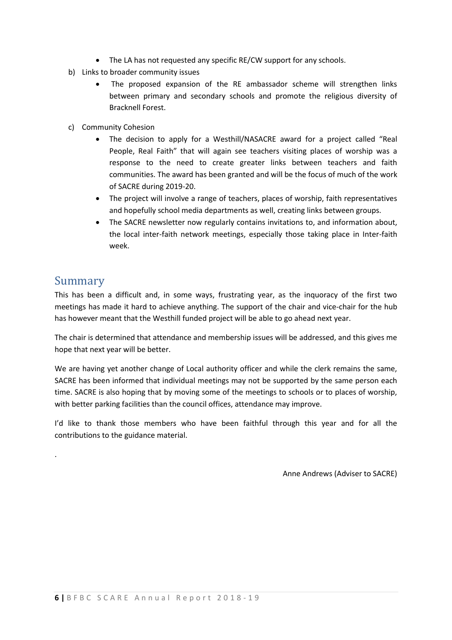- The LA has not requested any specific RE/CW support for any schools.
- b) Links to broader community issues
	- The proposed expansion of the RE ambassador scheme will strengthen links between primary and secondary schools and promote the religious diversity of Bracknell Forest.
- c) Community Cohesion
	- The decision to apply for a Westhill/NASACRE award for a project called "Real People, Real Faith" that will again see teachers visiting places of worship was a response to the need to create greater links between teachers and faith communities. The award has been granted and will be the focus of much of the work of SACRE during 2019-20.
	- The project will involve a range of teachers, places of worship, faith representatives and hopefully school media departments as well, creating links between groups.
	- The SACRE newsletter now regularly contains invitations to, and information about, the local inter-faith network meetings, especially those taking place in Inter-faith week.

### Summary

.

This has been a difficult and, in some ways, frustrating year, as the inquoracy of the first two meetings has made it hard to achieve anything. The support of the chair and vice-chair for the hub has however meant that the Westhill funded project will be able to go ahead next year.

The chair is determined that attendance and membership issues will be addressed, and this gives me hope that next year will be better.

We are having yet another change of Local authority officer and while the clerk remains the same, SACRE has been informed that individual meetings may not be supported by the same person each time. SACRE is also hoping that by moving some of the meetings to schools or to places of worship, with better parking facilities than the council offices, attendance may improve.

I'd like to thank those members who have been faithful through this year and for all the contributions to the guidance material.

Anne Andrews (Adviser to SACRE)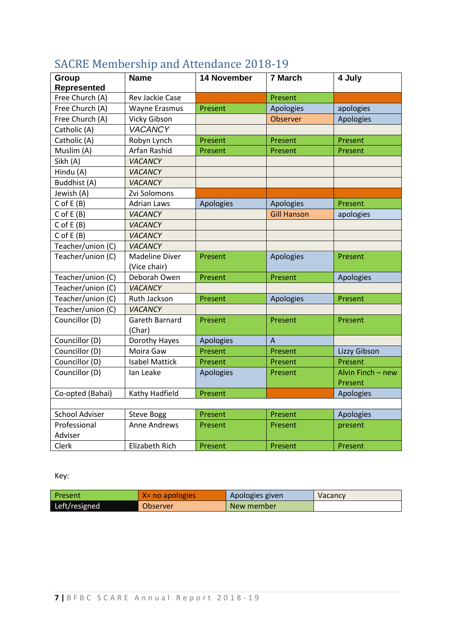| Group                 | <b>Name</b>           | <b>14 November</b> | 7 March            | 4 July            |
|-----------------------|-----------------------|--------------------|--------------------|-------------------|
| <b>Represented</b>    |                       |                    |                    |                   |
| Free Church (A)       | Rev Jackie Case       |                    | Present            |                   |
| Free Church (A)       | Wayne Erasmus         | Present            | Apologies          | apologies         |
| Free Church (A)       | Vicky Gibson          |                    | Observer           | Apologies         |
| Catholic (A)          | <b>VACANCY</b>        |                    |                    |                   |
| Catholic (A)          | Robyn Lynch           | Present            | Present            | Present           |
| Muslim (A)            | Arfan Rashid          | Present            | Present            | Present           |
| Sikh (A)              | VACANCY               |                    |                    |                   |
| Hindu (A)             | VACANCY               |                    |                    |                   |
| Buddhist (A)          | VACANCY               |                    |                    |                   |
| Jewish (A)            | Zvi Solomons          |                    |                    |                   |
| $C$ of $E(B)$         | <b>Adrian Laws</b>    | Apologies          | Apologies          | Present           |
| $C$ of $E(B)$         | VACANCY               |                    | <b>Gill Hanson</b> | apologies         |
| $C$ of $E(B)$         | VACANCY               |                    |                    |                   |
| $C$ of $E(B)$         | <b>VACANCY</b>        |                    |                    |                   |
| Teacher/union (C)     | VACANCY               |                    |                    |                   |
| Teacher/union (C)     | <b>Madeline Diver</b> | Present            | Apologies          | Present           |
|                       | (Vice chair)          |                    |                    |                   |
| Teacher/union (C)     | Deborah Owen          | Present            | Present            | Apologies         |
| Teacher/union (C)     | VACANCY               |                    |                    |                   |
| Teacher/union (C)     | Ruth Jackson          | Present            | Apologies          | Present           |
| Teacher/union (C)     | VACANCY               |                    |                    |                   |
| Councillor (D)        | Gareth Barnard        | Present            | Present            | Present           |
|                       | (Char)                |                    |                    |                   |
| Councillor (D)        | Dorothy Hayes         | Apologies          | A                  |                   |
| Councillor (D)        | Moira Gaw             | Present            | Present            | Lizzy Gibson      |
| Councillor (D)        | <b>Isabel Mattick</b> | Present            | Present            | Present           |
| Councillor (D)        | Ian Leake             | Apologies          | Present            | Alvin Finch - new |
|                       |                       |                    |                    | Present           |
| Co-opted (Bahai)      | Kathy Hadfield        | Present            |                    | Apologies         |
|                       |                       |                    |                    |                   |
| <b>School Adviser</b> | <b>Steve Bogg</b>     | Present            | Present            | Apologies         |
| Professional          | <b>Anne Andrews</b>   | Present            | Present            | present           |
| Adviser               |                       |                    |                    |                   |
| Clerk                 | <b>Elizabeth Rich</b> | Present            | Present            | Present           |

# SACRE Membership and Attendance 2018-19

Key:

| l Present     | $X = no$ apologies | Apologies given | Vacancy |
|---------------|--------------------|-----------------|---------|
| Left/resigned | Observer           | New member      |         |